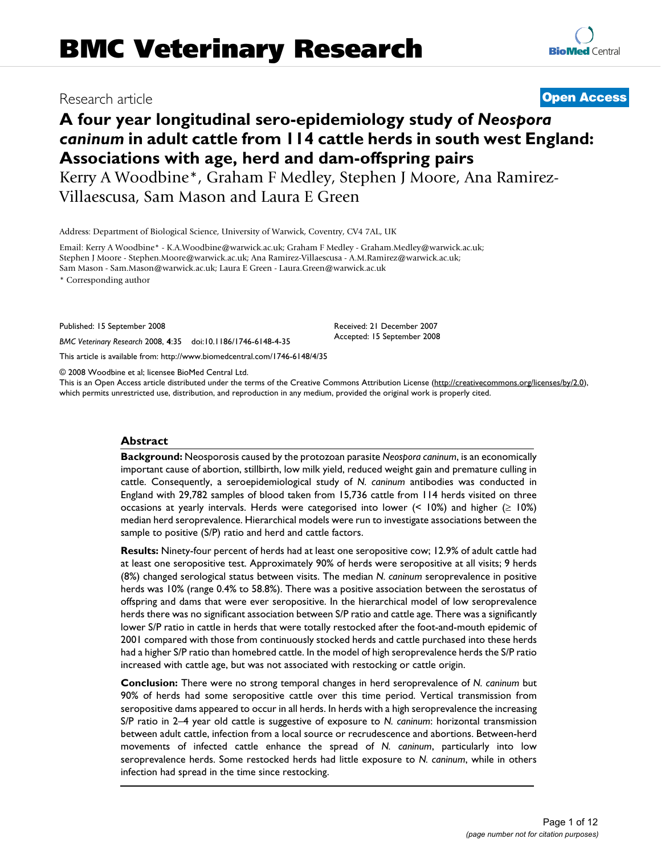# **A four year longitudinal sero-epidemiology study of** *Neospora caninum* **in adult cattle from 114 cattle herds in south west England: Associations with age, herd and dam-offspring pairs**

Kerry A Woodbine\*, Graham F Medley, Stephen J Moore, Ana Ramirez-Villaescusa, Sam Mason and Laura E Green

Address: Department of Biological Science, University of Warwick, Coventry, CV4 7AL, UK

Email: Kerry A Woodbine\* - K.A.Woodbine@warwick.ac.uk; Graham F Medley - Graham.Medley@warwick.ac.uk; Stephen J Moore - Stephen.Moore@warwick.ac.uk; Ana Ramirez-Villaescusa - A.M.Ramirez@warwick.ac.uk; Sam Mason - Sam.Mason@warwick.ac.uk; Laura E Green - Laura.Green@warwick.ac.uk

\* Corresponding author

Published: 15 September 2008

*BMC Veterinary Research* 2008, **4**:35 doi:10.1186/1746-6148-4-35

[This article is available from: http://www.biomedcentral.com/1746-6148/4/35](http://www.biomedcentral.com/1746-6148/4/35)

© 2008 Woodbine et al; licensee BioMed Central Ltd.

This is an Open Access article distributed under the terms of the Creative Commons Attribution License [\(http://creativecommons.org/licenses/by/2.0\)](http://creativecommons.org/licenses/by/2.0), which permits unrestricted use, distribution, and reproduction in any medium, provided the original work is properly cited.

Received: 21 December 2007 Accepted: 15 September 2008

# **Abstract**

**Background:** Neosporosis caused by the protozoan parasite *Neospora caninum*, is an economically important cause of abortion, stillbirth, low milk yield, reduced weight gain and premature culling in cattle. Consequently, a seroepidemiological study of *N. caninum* antibodies was conducted in England with 29,782 samples of blood taken from 15,736 cattle from 114 herds visited on three occasions at yearly intervals. Herds were categorised into lower  $($  < 10%) and higher  $($   $\geq$  10%) median herd seroprevalence. Hierarchical models were run to investigate associations between the sample to positive (S/P) ratio and herd and cattle factors.

**Results:** Ninety-four percent of herds had at least one seropositive cow; 12.9% of adult cattle had at least one seropositive test. Approximately 90% of herds were seropositive at all visits; 9 herds (8%) changed serological status between visits. The median *N. caninum* seroprevalence in positive herds was 10% (range 0.4% to 58.8%). There was a positive association between the serostatus of offspring and dams that were ever seropositive. In the hierarchical model of low seroprevalence herds there was no significant association between S/P ratio and cattle age. There was a significantly lower S/P ratio in cattle in herds that were totally restocked after the foot-and-mouth epidemic of 2001 compared with those from continuously stocked herds and cattle purchased into these herds had a higher S/P ratio than homebred cattle. In the model of high seroprevalence herds the S/P ratio increased with cattle age, but was not associated with restocking or cattle origin.

**Conclusion:** There were no strong temporal changes in herd seroprevalence of *N. caninum* but 90% of herds had some seropositive cattle over this time period. Vertical transmission from seropositive dams appeared to occur in all herds. In herds with a high seroprevalence the increasing S/P ratio in 2–4 year old cattle is suggestive of exposure to *N. caninum*: horizontal transmission between adult cattle, infection from a local source or recrudescence and abortions. Between-herd movements of infected cattle enhance the spread of *N. caninum*, particularly into low seroprevalence herds. Some restocked herds had little exposure to *N. caninum*, while in others infection had spread in the time since restocking.

Research article **[Open Access](http://www.biomedcentral.com/info/about/charter/)**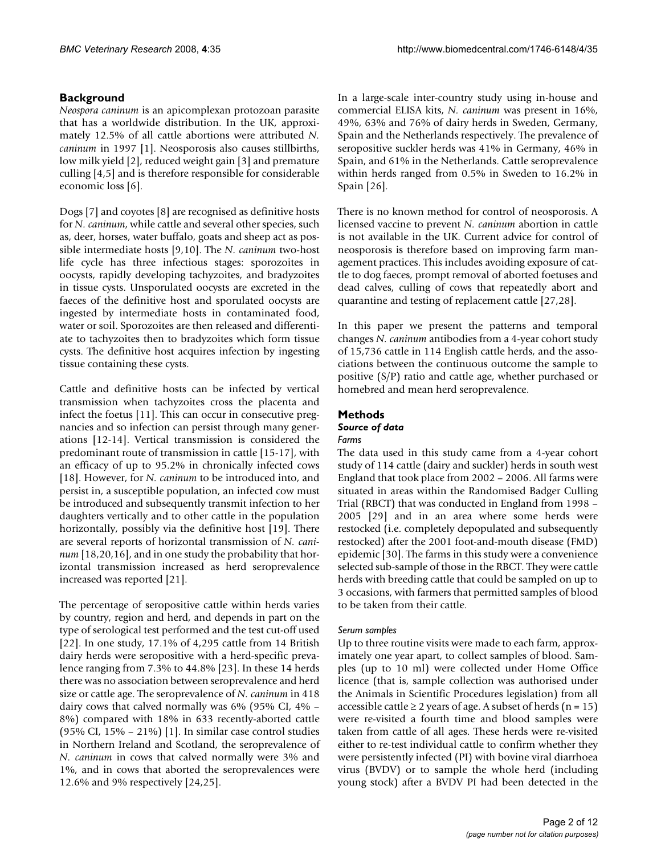# **Background**

*Neospora caninum* is an apicomplexan protozoan parasite that has a worldwide distribution. In the UK, approximately 12.5% of all cattle abortions were attributed *N. caninum* in 1997 [1]. Neosporosis also causes stillbirths, low milk yield [2], reduced weight gain [3] and premature culling [[4](#page-10-0),[5](#page-10-1)] and is therefore responsible for considerable economic loss [6].

Dogs [7] and coyotes [8] are recognised as definitive hosts for *N. caninum*, while cattle and several other species, such as, deer, horses, water buffalo, goats and sheep act as possible intermediate hosts [9,10]. The *N. caninum* two-host life cycle has three infectious stages: sporozoites in oocysts, rapidly developing tachyzoites, and bradyzoites in tissue cysts. Unsporulated oocysts are excreted in the faeces of the definitive host and sporulated oocysts are ingested by intermediate hosts in contaminated food, water or soil. Sporozoites are then released and differentiate to tachyzoites then to bradyzoites which form tissue cysts. The definitive host acquires infection by ingesting tissue containing these cysts.

Cattle and definitive hosts can be infected by vertical transmission when tachyzoites cross the placenta and infect the foetus [11]. This can occur in consecutive pregnancies and so infection can persist through many generations [12-14]. Vertical transmission is considered the predominant route of transmission in cattle [15-17], with an efficacy of up to 95.2% in chronically infected cows [18]. However, for *N. caninum* to be introduced into, and persist in, a susceptible population, an infected cow must be introduced and subsequently transmit infection to her daughters vertically and to other cattle in the population horizontally, possibly via the definitive host [19]. There are several reports of horizontal transmission of *N. caninum* [18,20,16], and in one study the probability that horizontal transmission increased as herd seroprevalence increased was reported [21].

The percentage of seropositive cattle within herds varies by country, region and herd, and depends in part on the type of serological test performed and the test cut-off used [22]. In one study, 17.1% of 4,295 cattle from 14 British dairy herds were seropositive with a herd-specific prevalence ranging from 7.3% to 44.8% [\[23](#page-11-0)]. In these 14 herds there was no association between seroprevalence and herd size or cattle age. The seroprevalence of *N. caninum* in 418 dairy cows that calved normally was 6% (95% CI, 4% – 8%) compared with 18% in 633 recently-aborted cattle  $(95\% \text{ CI}, 15\% - 21\%)$  [1]. In similar case control studies in Northern Ireland and Scotland, the seroprevalence of *N. caninum* in cows that calved normally were 3% and 1%, and in cows that aborted the seroprevalences were 12.6% and 9% respectively [24,25].

In a large-scale inter-country study using in-house and commercial ELISA kits, *N. caninum* was present in 16%, 49%, 63% and 76% of dairy herds in Sweden, Germany, Spain and the Netherlands respectively. The prevalence of seropositive suckler herds was 41% in Germany, 46% in Spain, and 61% in the Netherlands. Cattle seroprevalence within herds ranged from 0.5% in Sweden to 16.2% in Spain [26].

There is no known method for control of neosporosis. A licensed vaccine to prevent *N. caninum* abortion in cattle is not available in the UK. Current advice for control of neosporosis is therefore based on improving farm management practices. This includes avoiding exposure of cattle to dog faeces, prompt removal of aborted foetuses and dead calves, culling of cows that repeatedly abort and quarantine and testing of replacement cattle [27,28].

In this paper we present the patterns and temporal changes *N. caninum* antibodies from a 4-year cohort study of 15,736 cattle in 114 English cattle herds, and the associations between the continuous outcome the sample to positive (S/P) ratio and cattle age, whether purchased or homebred and mean herd seroprevalence.

# **Methods**

#### *Source of data Farms*

The data used in this study came from a 4-year cohort study of 114 cattle (dairy and suckler) herds in south west England that took place from 2002 – 2006. All farms were situated in areas within the Randomised Badger Culling Trial (RBCT) that was conducted in England from 1998 – 2005 [29] and in an area where some herds were restocked (i.e. completely depopulated and subsequently restocked) after the 2001 foot-and-mouth disease (FMD) epidemic [30]. The farms in this study were a convenience selected sub-sample of those in the RBCT. They were cattle herds with breeding cattle that could be sampled on up to 3 occasions, with farmers that permitted samples of blood to be taken from their cattle.

# *Serum samples*

Up to three routine visits were made to each farm, approximately one year apart, to collect samples of blood. Samples (up to 10 ml) were collected under Home Office licence (that is, sample collection was authorised under the Animals in Scientific Procedures legislation) from all accessible cattle  $\geq 2$  years of age. A subset of herds (n = 15) were re-visited a fourth time and blood samples were taken from cattle of all ages. These herds were re-visited either to re-test individual cattle to confirm whether they were persistently infected (PI) with bovine viral diarrhoea virus (BVDV) or to sample the whole herd (including young stock) after a BVDV PI had been detected in the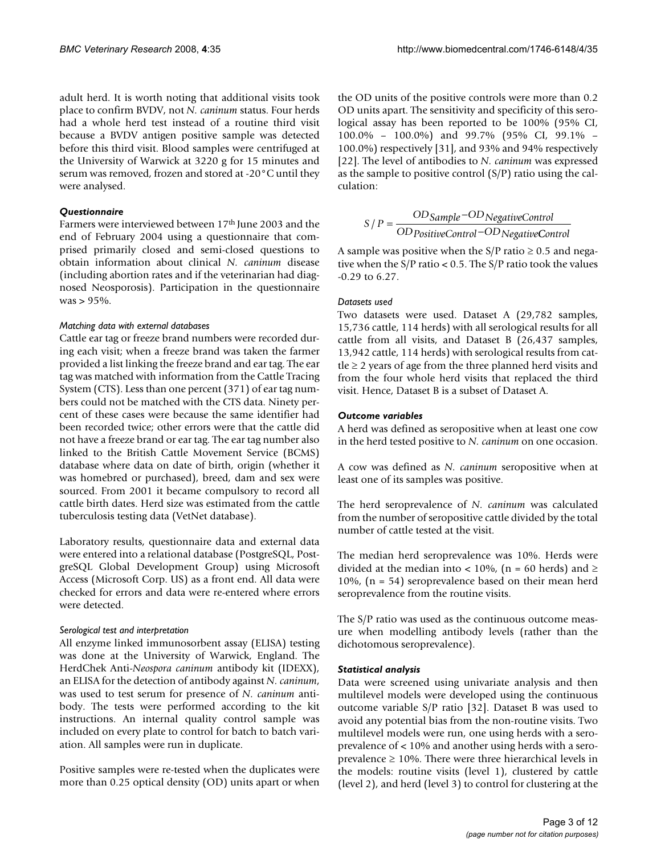adult herd. It is worth noting that additional visits took place to confirm BVDV, not *N. caninum* status. Four herds had a whole herd test instead of a routine third visit because a BVDV antigen positive sample was detected before this third visit. Blood samples were centrifuged at the University of Warwick at 3220 g for 15 minutes and serum was removed, frozen and stored at -20°C until they were analysed.

# *Questionnaire*

Farmers were interviewed between 17th June 2003 and the end of February 2004 using a questionnaire that comprised primarily closed and semi-closed questions to obtain information about clinical *N. caninum* disease (including abortion rates and if the veterinarian had diagnosed Neosporosis). Participation in the questionnaire was > 95%.

# *Matching data with external databases*

Cattle ear tag or freeze brand numbers were recorded during each visit; when a freeze brand was taken the farmer provided a list linking the freeze brand and ear tag. The ear tag was matched with information from the Cattle Tracing System (CTS). Less than one percent (371) of ear tag numbers could not be matched with the CTS data. Ninety percent of these cases were because the same identifier had been recorded twice; other errors were that the cattle did not have a freeze brand or ear tag. The ear tag number also linked to the British Cattle Movement Service (BCMS) database where data on date of birth, origin (whether it was homebred or purchased), breed, dam and sex were sourced. From 2001 it became compulsory to record all cattle birth dates. Herd size was estimated from the cattle tuberculosis testing data (VetNet database).

Laboratory results, questionnaire data and external data were entered into a relational database (PostgreSQL, PostgreSQL Global Development Group) using Microsoft Access (Microsoft Corp. US) as a front end. All data were checked for errors and data were re-entered where errors were detected.

# *Serological test and interpretation*

All enzyme linked immunosorbent assay (ELISA) testing was done at the University of Warwick, England. The HerdChek Anti-*Neospora caninum* antibody kit (IDEXX), an ELISA for the detection of antibody against *N. caninum*, was used to test serum for presence of *N. caninum* antibody. The tests were performed according to the kit instructions. An internal quality control sample was included on every plate to control for batch to batch variation. All samples were run in duplicate.

Positive samples were re-tested when the duplicates were more than 0.25 optical density (OD) units apart or when

the OD units of the positive controls were more than 0.2 OD units apart. The sensitivity and specificity of this serological assay has been reported to be 100% (95% CI, 100.0% – 100.0%) and 99.7% (95% CI, 99.1% – 100.0%) respectively [31], and 93% and 94% respectively [22]. The level of antibodies to *N. caninum* was expressed as the sample to positive control (S/P) ratio using the calculation:

$$
S/P = \frac{OD Sample - ODNegativeControl}{OD PositiveControl - OD NegativeControl}
$$

A sample was positive when the S/P ratio  $\geq$  0.5 and negative when the  $S/P$  ratio < 0.5. The  $S/P$  ratio took the values -0.29 to 6.27.

# *Datasets used*

Two datasets were used. Dataset A (29,782 samples, 15,736 cattle, 114 herds) with all serological results for all cattle from all visits, and Dataset B (26,437 samples, 13,942 cattle, 114 herds) with serological results from cattle ≥ 2 years of age from the three planned herd visits and from the four whole herd visits that replaced the third visit. Hence, Dataset B is a subset of Dataset A.

# *Outcome variables*

A herd was defined as seropositive when at least one cow in the herd tested positive to *N. caninum* on one occasion.

A cow was defined as *N. caninum* seropositive when at least one of its samples was positive.

The herd seroprevalence of *N. caninum* was calculated from the number of seropositive cattle divided by the total number of cattle tested at the visit.

The median herd seroprevalence was 10%. Herds were divided at the median into < 10%, (n = 60 herds) and  $\ge$ 10%, (n = 54) seroprevalence based on their mean herd seroprevalence from the routine visits.

The S/P ratio was used as the continuous outcome measure when modelling antibody levels (rather than the dichotomous seroprevalence).

# *Statistical analysis*

Data were screened using univariate analysis and then multilevel models were developed using the continuous outcome variable S/P ratio [32]. Dataset B was used to avoid any potential bias from the non-routine visits. Two multilevel models were run, one using herds with a seroprevalence of < 10% and another using herds with a seroprevalence  $\geq 10\%$ . There were three hierarchical levels in the models: routine visits (level 1), clustered by cattle (level 2), and herd (level 3) to control for clustering at the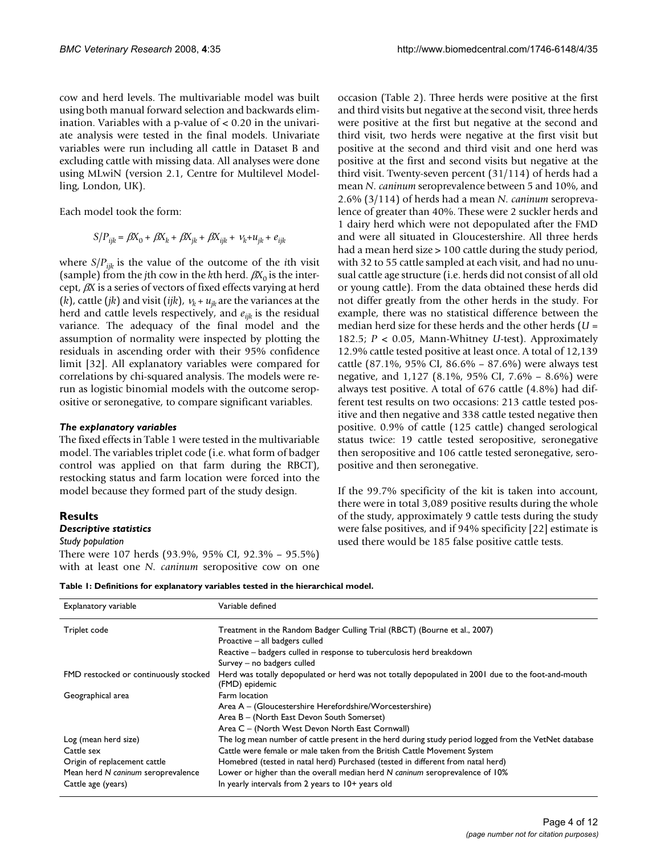cow and herd levels. The multivariable model was built using both manual forward selection and backwards elimination. Variables with a p-value of < 0.20 in the univariate analysis were tested in the final models. Univariate variables were run including all cattle in Dataset B and excluding cattle with missing data. All analyses were done using MLwiN (version 2.1, Centre for Multilevel Modelling, London, UK).

Each model took the form:

$$
S/P_{ijk} = \beta X_0 + \beta X_k + \beta X_{jk} + \beta X_{ijk} + v_k + u_{jk} + e_{ijk}
$$

where  $S/P_{ijk}$  is the value of the outcome of the *i*th visit (sample) from the *j*th cow in the *k*th herd.  $\beta X_0$  is the intercept, β*X* is a series of vectors of fixed effects varying at herd (*k*), cattle (*jk*) and visit (*ijk*),  $v_k + u_{ik}$  are the variances at the herd and cattle levels respectively, and *eijk* is the residual variance. The adequacy of the final model and the assumption of normality were inspected by plotting the residuals in ascending order with their 95% confidence limit [32]. All explanatory variables were compared for correlations by chi-squared analysis. The models were rerun as logistic binomial models with the outcome seropositive or seronegative, to compare significant variables.

#### *The explanatory variables*

The fixed effects in Table 1 were tested in the multivariable model. The variables triplet code (i.e. what form of badger control was applied on that farm during the RBCT), restocking status and farm location were forced into the model because they formed part of the study design.

# **Results**

#### *Descriptive statistics*

*Study population*

There were 107 herds (93.9%, 95% CI, 92.3% – 95.5%) with at least one *N. caninum* seropositive cow on one occasion (Table 2). Three herds were positive at the first and third visits but negative at the second visit, three herds were positive at the first but negative at the second and third visit, two herds were negative at the first visit but positive at the second and third visit and one herd was positive at the first and second visits but negative at the third visit. Twenty-seven percent (31/114) of herds had a mean *N. caninum* seroprevalence between 5 and 10%, and 2.6% (3/114) of herds had a mean *N. caninum* seroprevalence of greater than 40%. These were 2 suckler herds and 1 dairy herd which were not depopulated after the FMD and were all situated in Gloucestershire. All three herds had a mean herd size > 100 cattle during the study period, with 32 to 55 cattle sampled at each visit, and had no unusual cattle age structure (i.e. herds did not consist of all old or young cattle). From the data obtained these herds did not differ greatly from the other herds in the study. For example, there was no statistical difference between the median herd size for these herds and the other herds (*U* = 182.5; *P* < 0.05, Mann-Whitney *U*-test). Approximately 12.9% cattle tested positive at least once. A total of 12,139 cattle (87.1%, 95% CI, 86.6% – 87.6%) were always test negative, and 1,127 (8.1%, 95% CI, 7.6% – 8.6%) were always test positive. A total of 676 cattle (4.8%) had different test results on two occasions: 213 cattle tested positive and then negative and 338 cattle tested negative then positive. 0.9% of cattle (125 cattle) changed serological status twice: 19 cattle tested seropositive, seronegative then seropositive and 106 cattle tested seronegative, seropositive and then seronegative.

If the 99.7% specificity of the kit is taken into account, there were in total 3,089 positive results during the whole of the study, approximately 9 cattle tests during the study were false positives, and if 94% specificity [22] estimate is used there would be 185 false positive cattle tests.

| Table 1: Definitions for explanatory variables tested in the hierarchical model. |  |  |  |  |  |
|----------------------------------------------------------------------------------|--|--|--|--|--|
|----------------------------------------------------------------------------------|--|--|--|--|--|

| Explanatory variable                  | Variable defined                                                                                                     |
|---------------------------------------|----------------------------------------------------------------------------------------------------------------------|
| Triplet code                          | Treatment in the Random Badger Culling Trial (RBCT) (Bourne et al., 2007)                                            |
|                                       | Proactive – all badgers culled                                                                                       |
|                                       | Reactive - badgers culled in response to tuberculosis herd breakdown                                                 |
|                                       | Survey - no badgers culled                                                                                           |
| FMD restocked or continuously stocked | Herd was totally depopulated or herd was not totally depopulated in 2001 due to the foot-and-mouth<br>(FMD) epidemic |
| Geographical area                     | Farm location                                                                                                        |
|                                       | Area A – (Gloucestershire Herefordshire/Worcestershire)                                                              |
|                                       | Area B - (North East Devon South Somerset)                                                                           |
|                                       | Area C – (North West Devon North East Cornwall)                                                                      |
| Log (mean herd size)                  | The log mean number of cattle present in the herd during study period logged from the VetNet database                |
| Cattle sex                            | Cattle were female or male taken from the British Cattle Movement System                                             |
| Origin of replacement cattle          | Homebred (tested in natal herd) Purchased (tested in different from natal herd)                                      |
| Mean herd N caninum seroprevalence    | Lower or higher than the overall median herd N caninum seroprevalence of 10%                                         |
| Cattle age (years)                    | In yearly intervals from 2 years to 10+ years old                                                                    |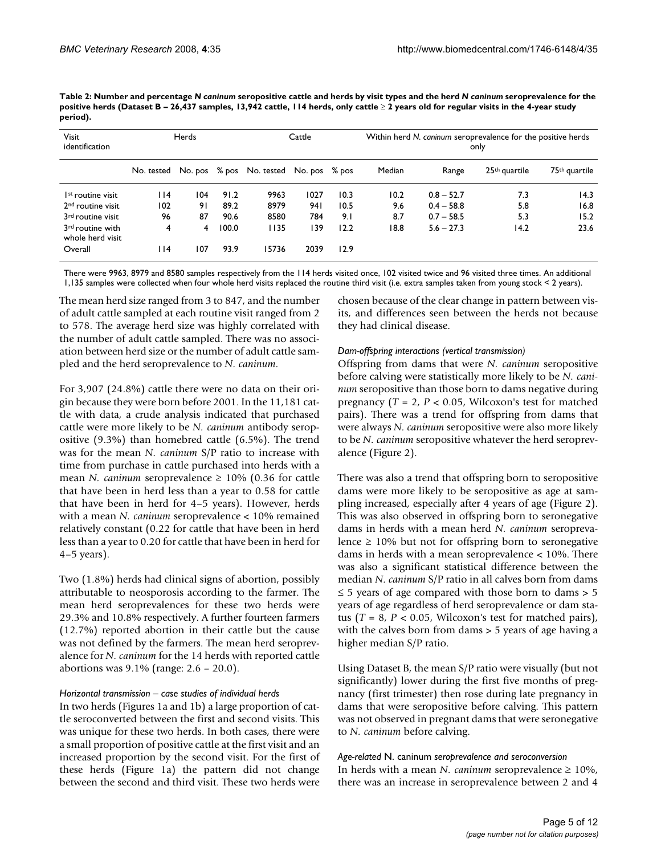| Table 2: Number and percentage N caninum seropositive cattle and herds by visit types and the herd N caninum seroprevalence for the    |  |
|----------------------------------------------------------------------------------------------------------------------------------------|--|
| positive herds (Dataset B – 26,437 samples, 13,942 cattle, 114 herds, only cattle ≥ 2 years old for regular visits in the 4-year study |  |
| period).                                                                                                                               |  |

| <b>Visit</b><br>identification       | Herds<br>Cattle |         |       |                          |      | Within herd N, caninum seroprevalence for the positive herds<br>only |        |              |                           |                           |  |
|--------------------------------------|-----------------|---------|-------|--------------------------|------|----------------------------------------------------------------------|--------|--------------|---------------------------|---------------------------|--|
|                                      | No. tested      | No. pos |       | % pos No. tested No. pos |      | $\%$ pos                                                             | Median | Range        | 25 <sup>th</sup> quartile | 75 <sup>th</sup> quartile |  |
| I <sup>st</sup> routine visit        | l 14            | 104     | 91.2  | 9963                     | 1027 | 10.3                                                                 | 10.2   | $0.8 - 52.7$ | 7.3                       | 14.3                      |  |
| 2 <sup>nd</sup> routine visit        | 102             | 91      | 89.2  | 8979                     | 941  | 10.5                                                                 | 9.6    | $0.4 - 58.8$ | 5.8                       | 16.8                      |  |
| 3 <sup>rd</sup> routine visit        | 96              | 87      | 90.6  | 8580                     | 784  | 9.1                                                                  | 8.7    | $0.7 - 58.5$ | 5.3                       | 15.2                      |  |
| 3rd routine with<br>whole herd visit | 4               | 4       | 100.0 | 1135                     | 139  | 12.2                                                                 | 18.8   | $5.6 - 27.3$ | 14.2                      | 23.6                      |  |
| Overall                              | ۱۱4             | 107     | 93.9  | 15736                    | 2039 | 12.9                                                                 |        |              |                           |                           |  |

There were 9963, 8979 and 8580 samples respectively from the 114 herds visited once, 102 visited twice and 96 visited three times. An additional 1,135 samples were collected when four whole herd visits replaced the routine third visit (i.e. extra samples taken from young stock < 2 years).

The mean herd size ranged from 3 to 847, and the number of adult cattle sampled at each routine visit ranged from 2 to 578. The average herd size was highly correlated with the number of adult cattle sampled. There was no association between herd size or the number of adult cattle sampled and the herd seroprevalence to *N. caninum*.

For 3,907 (24.8%) cattle there were no data on their origin because they were born before 2001. In the 11,181 cattle with data, a crude analysis indicated that purchased cattle were more likely to be *N. caninum* antibody seropositive (9.3%) than homebred cattle (6.5%). The trend was for the mean *N. caninum* S/P ratio to increase with time from purchase in cattle purchased into herds with a mean *N. caninum* seroprevalence  $\geq 10\%$  (0.36 for cattle that have been in herd less than a year to 0.58 for cattle that have been in herd for 4–5 years). However, herds with a mean *N. caninum* seroprevalence < 10% remained relatively constant (0.22 for cattle that have been in herd less than a year to 0.20 for cattle that have been in herd for 4–5 years).

Two (1.8%) herds had clinical signs of abortion, possibly attributable to neosporosis according to the farmer. The mean herd seroprevalences for these two herds were 29.3% and 10.8% respectively. A further fourteen farmers (12.7%) reported abortion in their cattle but the cause was not defined by the farmers. The mean herd seroprevalence for *N. caninum* for the 14 herds with reported cattle abortions was 9.1% (range: 2.6 – 20.0).

#### *Horizontal transmission – case studies of individual herds*

In two herds (Figures 1a and 1b) a large proportion of cattle seroconverted between the first and second visits. This was unique for these two herds. In both cases, there were a small proportion of positive cattle at the first visit and an increased proportion by the second visit. For the first of these herds (Figure 1a) the pattern did not change between the second and third visit. These two herds were

chosen because of the clear change in pattern between visits, and differences seen between the herds not because they had clinical disease.

#### *Dam-offspring interactions (vertical transmission)*

Offspring from dams that were *N. caninum* seropositive before calving were statistically more likely to be *N. caninum* seropositive than those born to dams negative during pregnancy (*T* = 2, *P* < 0.05, Wilcoxon's test for matched pairs). There was a trend for offspring from dams that were always *N. caninum* seropositive were also more likely to be *N. caninum* seropositive whatever the herd seroprevalence (Figure 2).

There was also a trend that offspring born to seropositive dams were more likely to be seropositive as age at sampling increased, especially after 4 years of age (Figure 2). This was also observed in offspring born to seronegative dams in herds with a mean herd *N. caninum* seroprevalence  $\geq$  10% but not for offspring born to seronegative dams in herds with a mean seroprevalence < 10%. There was also a significant statistical difference between the median *N. caninum* S/P ratio in all calves born from dams  $\leq$  5 years of age compared with those born to dams > 5 years of age regardless of herd seroprevalence or dam status  $(T = 8, P < 0.05,$  Wilcoxon's test for matched pairs), with the calves born from dams > 5 years of age having a higher median S/P ratio.

Using Dataset B, the mean S/P ratio were visually (but not significantly) lower during the first five months of pregnancy (first trimester) then rose during late pregnancy in dams that were seropositive before calving. This pattern was not observed in pregnant dams that were seronegative to *N. caninum* before calving.

*Age-related* N. caninum *seroprevalence and seroconversion* In herds with a mean *N. caninum* seroprevalence ≥ 10%, there was an increase in seroprevalence between 2 and 4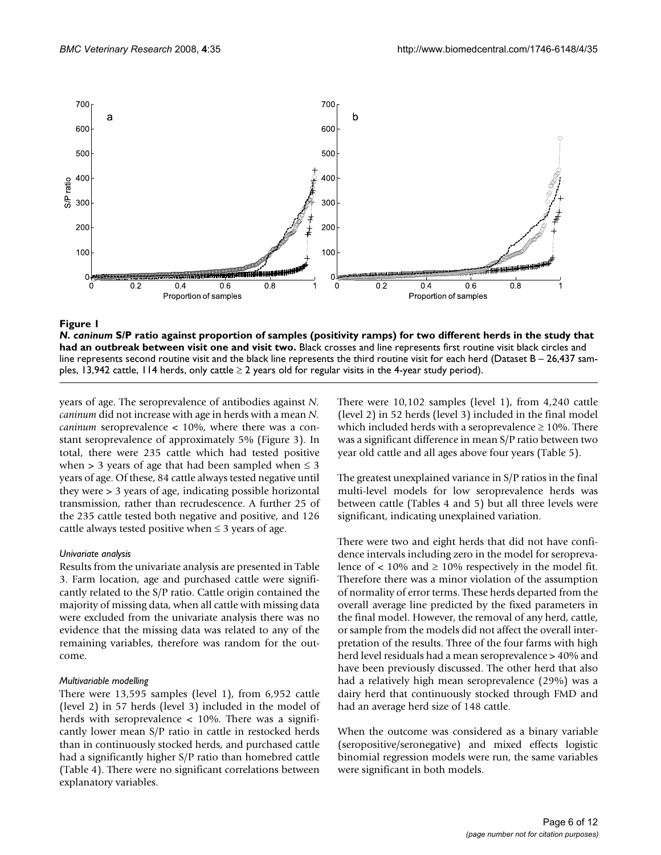

# **Figure 1** S/P ratio against one and visit two figures (positivity ramps) for two different herds in the study that had an outbreak  $\alpha$

*N. caninum* **S/P ratio against proportion of samples (positivity ramps) for two different herds in the study that had an outbreak between visit one and visit two.** Black crosses and line represents first routine visit black circles and line represents second routine visit and the black line represents the third routine visit for each herd (Dataset B - 26,437 samples, 13,942 cattle, 114 herds, only cattle  $\geq 2$  years old for regular visits in the 4-year study period).

years of age. The seroprevalence of antibodies against *N. caninum* did not increase with age in herds with a mean *N. caninum* seroprevalence < 10%, where there was a constant seroprevalence of approximately 5% (Figure 3). In total, there were 235 cattle which had tested positive when > 3 years of age that had been sampled when  $\leq$  3 years of age. Of these, 84 cattle always tested negative until they were > 3 years of age, indicating possible horizontal transmission, rather than recrudescence. A further 25 of the 235 cattle tested both negative and positive, and 126 cattle always tested positive when  $\leq$  3 years of age.

# *Univariate analysis*

Results from the univariate analysis are presented in Table 3. Farm location, age and purchased cattle were significantly related to the S/P ratio. Cattle origin contained the majority of missing data, when all cattle with missing data were excluded from the univariate analysis there was no evidence that the missing data was related to any of the remaining variables, therefore was random for the outcome.

#### *Multivariable modelling*

There were 13,595 samples (level 1), from 6,952 cattle (level 2) in 57 herds (level 3) included in the model of herds with seroprevalence  $\langle 10\% \rangle$ . There was a significantly lower mean S/P ratio in cattle in restocked herds than in continuously stocked herds, and purchased cattle had a significantly higher S/P ratio than homebred cattle (Table 4). There were no significant correlations between explanatory variables.

There were 10,102 samples (level 1), from 4,240 cattle (level 2) in 52 herds (level 3) included in the final model which included herds with a seroprevalence  $\geq 10\%$ . There was a significant difference in mean S/P ratio between two year old cattle and all ages above four years (Table 5).

The greatest unexplained variance in S/P ratios in the final multi-level models for low seroprevalence herds was between cattle (Tables 4 and 5) but all three levels were significant, indicating unexplained variation.

There were two and eight herds that did not have confidence intervals including zero in the model for seroprevalence of  $\lt$  10% and  $\ge$  10% respectively in the model fit. Therefore there was a minor violation of the assumption of normality of error terms. These herds departed from the overall average line predicted by the fixed parameters in the final model. However, the removal of any herd, cattle, or sample from the models did not affect the overall interpretation of the results. Three of the four farms with high herd level residuals had a mean seroprevalence > 40% and have been previously discussed. The other herd that also had a relatively high mean seroprevalence (29%) was a dairy herd that continuously stocked through FMD and had an average herd size of 148 cattle.

When the outcome was considered as a binary variable (seropositive/seronegative) and mixed effects logistic binomial regression models were run, the same variables were significant in both models.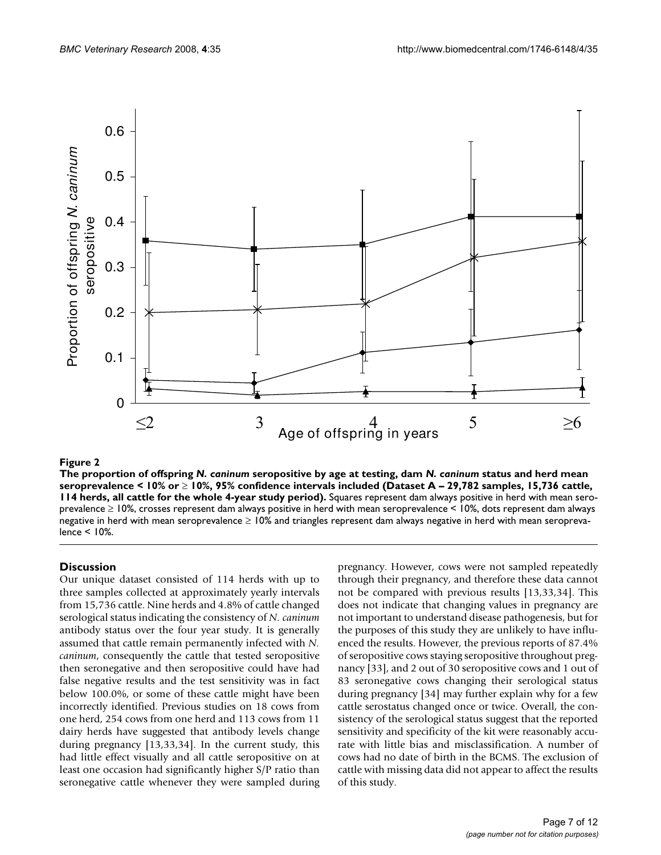

# Figure 2 and 2008 and 2008 and 2008 and 2008 and 2008 and 2008 and 2008 and 2008 and 2008 and 2008 and 2008 an

**The proportion of offspring** *N. caninum* **seropositive by age at testing, dam** *N. caninum* **status and herd mean seroprevalence < 10% or** ≥ **10%, 95% confidence intervals included (Dataset A – 29,782 samples, 15,736 cattle, 114 herds, all cattle for the whole 4-year study period).** Squares represent dam always positive in herd with mean seroprevalence ≥ 10%, crosses represent dam always positive in herd with mean seroprevalence < 10%, dots represent dam always negative in herd with mean seroprevalence ≥ 10% and triangles represent dam always negative in herd with mean seroprevalence < 10%.

# **Discussion**

Our unique dataset consisted of 114 herds with up to three samples collected at approximately yearly intervals from 15,736 cattle. Nine herds and 4.8% of cattle changed serological status indicating the consistency of *N. caninum* antibody status over the four year study. It is generally assumed that cattle remain permanently infected with *N. caninum*, consequently the cattle that tested seropositive then seronegative and then seropositive could have had false negative results and the test sensitivity was in fact below 100.0%, or some of these cattle might have been incorrectly identified. Previous studies on 18 cows from one herd, 254 cows from one herd and 113 cows from 11 dairy herds have suggested that antibody levels change during pregnancy [13,33,34]. In the current study, this had little effect visually and all cattle seropositive on at least one occasion had significantly higher S/P ratio than seronegative cattle whenever they were sampled during pregnancy. However, cows were not sampled repeatedly through their pregnancy, and therefore these data cannot not be compared with previous results [13,33,34]. This does not indicate that changing values in pregnancy are not important to understand disease pathogenesis, but for the purposes of this study they are unlikely to have influenced the results. However, the previous reports of 87.4% of seropositive cows staying seropositive throughout pregnancy [33], and 2 out of 30 seropositive cows and 1 out of 83 seronegative cows changing their serological status during pregnancy [34] may further explain why for a few cattle serostatus changed once or twice. Overall, the consistency of the serological status suggest that the reported sensitivity and specificity of the kit were reasonably accurate with little bias and misclassification. A number of cows had no date of birth in the BCMS. The exclusion of cattle with missing data did not appear to affect the results of this study.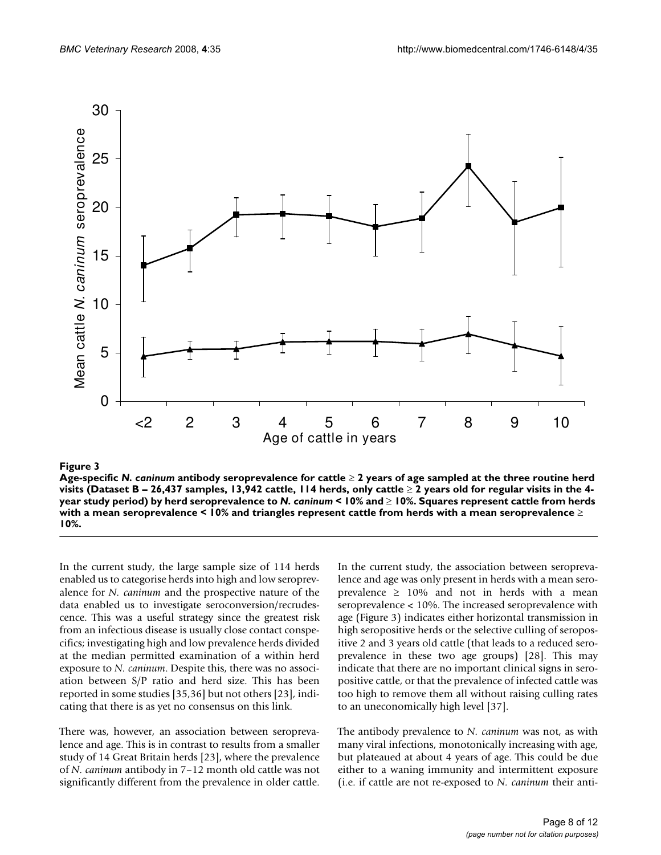

# **Figure 3** Products and the contract of the contract of the contract of the contract of the contract of the contract of the contract of the contract of the contract of the contract of the contract of the contract of the co

**Age-specific** *N. caninum* **antibody seroprevalence for cattle** ≥ **2 years of age sampled at the three routine herd visits (Dataset B – 26,437 samples, 13,942 cattle, 114 herds, only cattle** ≥ **2 years old for regular visits in the 4 year study period) by herd seroprevalence to** *N. caninum* **< 10% and** ≥ **10%. Squares represent cattle from herds with a mean seroprevalence < 10% and triangles represent cattle from herds with a mean seroprevalence** ≥ **10%.**

In the current study, the large sample size of 114 herds enabled us to categorise herds into high and low seroprevalence for *N. caninum* and the prospective nature of the data enabled us to investigate seroconversion/recrudescence. This was a useful strategy since the greatest risk from an infectious disease is usually close contact conspecifics; investigating high and low prevalence herds divided at the median permitted examination of a within herd exposure to *N. caninum*. Despite this, there was no association between S/P ratio and herd size. This has been reported in some studies [35,36] but not others [\[23\]](#page-11-0), indicating that there is as yet no consensus on this link.

There was, however, an association between seroprevalence and age. This is in contrast to results from a smaller study of 14 Great Britain herds [\[23\]](#page-11-0), where the prevalence of *N. caninum* antibody in 7–12 month old cattle was not significantly different from the prevalence in older cattle.

In the current study, the association between seroprevalence and age was only present in herds with a mean seroprevalence  $\geq 10\%$  and not in herds with a mean seroprevalence < 10%. The increased seroprevalence with age (Figure 3) indicates either horizontal transmission in high seropositive herds or the selective culling of seropositive 2 and 3 years old cattle (that leads to a reduced seroprevalence in these two age groups) [28]. This may indicate that there are no important clinical signs in seropositive cattle, or that the prevalence of infected cattle was too high to remove them all without raising culling rates to an uneconomically high level [37].

The antibody prevalence to *N. caninum* was not, as with many viral infections, monotonically increasing with age, but plateaued at about 4 years of age. This could be due either to a waning immunity and intermittent exposure (i.e. if cattle are not re-exposed to *N. caninum* their anti-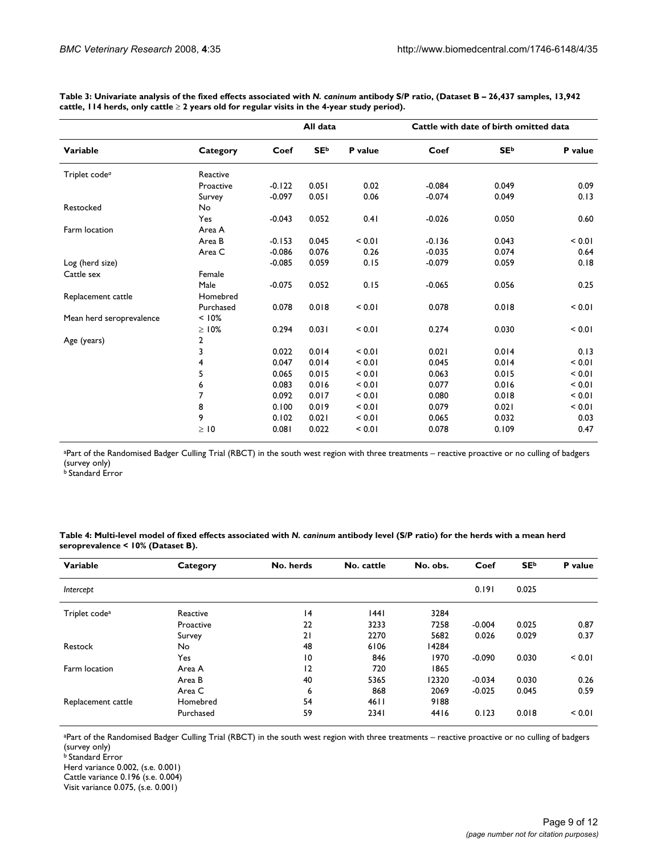|                           |                | All data |             |         | Cattle with date of birth omitted data |             |         |  |
|---------------------------|----------------|----------|-------------|---------|----------------------------------------|-------------|---------|--|
| Variable                  | Category       | Coef     | <b>SE</b> b | P value | Coef                                   | <b>SE</b> b | P value |  |
| Triplet code <sup>a</sup> | Reactive       |          |             |         |                                        |             |         |  |
|                           | Proactive      | $-0.122$ | 0.051       | 0.02    | $-0.084$                               | 0.049       | 0.09    |  |
|                           | Survey         | $-0.097$ | 0.051       | 0.06    | $-0.074$                               | 0.049       | 0.13    |  |
| Restocked                 | No             |          |             |         |                                        |             |         |  |
|                           | Yes            | $-0.043$ | 0.052       | 0.41    | $-0.026$                               | 0.050       | 0.60    |  |
| Farm location             | Area A         |          |             |         |                                        |             |         |  |
|                           | Area B         | $-0.153$ | 0.045       | < 0.01  | $-0.136$                               | 0.043       | < 0.01  |  |
|                           | Area C         | $-0.086$ | 0.076       | 0.26    | $-0.035$                               | 0.074       | 0.64    |  |
| Log (herd size)           |                | $-0.085$ | 0.059       | 0.15    | $-0.079$                               | 0.059       | 0.18    |  |
| Cattle sex                | Female         |          |             |         |                                        |             |         |  |
|                           | Male           | $-0.075$ | 0.052       | 0.15    | $-0.065$                               | 0.056       | 0.25    |  |
| Replacement cattle        | Homebred       |          |             |         |                                        |             |         |  |
|                           | Purchased      | 0.078    | 0.018       | < 0.01  | 0.078                                  | 0.018       | < 0.01  |  |
| Mean herd seroprevalence  | < 10%          |          |             |         |                                        |             |         |  |
|                           | $\geq 10\%$    | 0.294    | 0.031       | < 0.01  | 0.274                                  | 0.030       | < 0.01  |  |
| Age (years)               | $\overline{2}$ |          |             |         |                                        |             |         |  |
|                           | 3              | 0.022    | 0.014       | < 0.01  | 0.021                                  | 0.014       | 0.13    |  |
|                           | 4              | 0.047    | 0.014       | < 0.01  | 0.045                                  | 0.014       | < 0.01  |  |
|                           | 5              | 0.065    | 0.015       | < 0.01  | 0.063                                  | 0.015       | < 0.01  |  |
|                           | 6              | 0.083    | 0.016       | < 0.01  | 0.077                                  | 0.016       | < 0.01  |  |
|                           | 7              | 0.092    | 0.017       | < 0.01  | 0.080                                  | 0.018       | < 0.01  |  |
|                           | 8              | 0.100    | 0.019       | < 0.01  | 0.079                                  | 0.021       | < 0.01  |  |
|                           | 9              | 0.102    | 0.021       | < 0.01  | 0.065                                  | 0.032       | 0.03    |  |
|                           | $\geq$ 10      | 0.081    | 0.022       | < 0.01  | 0.078                                  | 0.109       | 0.47    |  |

**Table 3: Univariate analysis of the fixed effects associated with** *N. caninum* **antibody S/P ratio, (Dataset B – 26,437 samples, 13,942 cattle, 114 herds, only cattle** ≥ **2 years old for regular visits in the 4-year study period).**

aPart of the Randomised Badger Culling Trial (RBCT) in the south west region with three treatments – reactive proactive or no culling of badgers (survey only)

b Standard Error

**Table 4: Multi-level model of fixed effects associated with** *N. caninum* **antibody level (S/P ratio) for the herds with a mean herd seroprevalence < 10% (Dataset B).**

| Variable                  | Category  | No. herds | No. cattle | No. obs. | Coef     | <b>SE</b> <sup>b</sup> | P value |
|---------------------------|-----------|-----------|------------|----------|----------|------------------------|---------|
| Intercept                 |           |           |            |          | 0.191    | 0.025                  |         |
| Triplet code <sup>a</sup> | Reactive  | 4         | 1441       | 3284     |          |                        |         |
|                           | Proactive | 22        | 3233       | 7258     | $-0.004$ | 0.025                  | 0.87    |
|                           | Survey    | 21        | 2270       | 5682     | 0.026    | 0.029                  | 0.37    |
| Restock                   | No        | 48        | 6106       | 14284    |          |                        |         |
|                           | Yes       | 10        | 846        | 1970     | $-0.090$ | 0.030                  | < 0.01  |
| Farm location             | Area A    | 2         | 720        | 1865     |          |                        |         |
|                           | Area B    | 40        | 5365       | 12320    | $-0.034$ | 0.030                  | 0.26    |
|                           | Area C    | 6         | 868        | 2069     | $-0.025$ | 0.045                  | 0.59    |
| Replacement cattle        | Homebred  | 54        | 4611       | 9188     |          |                        |         |
|                           | Purchased | 59        | 2341       | 4416     | 0.123    | 0.018                  | < 0.01  |

aPart of the Randomised Badger Culling Trial (RBCT) in the south west region with three treatments – reactive proactive or no culling of badgers (survey only)

b Standard Error

Herd variance 0.002, (s.e. 0.001) Cattle variance 0.196 (s.e. 0.004)

Visit variance 0.075, (s.e. 0.001)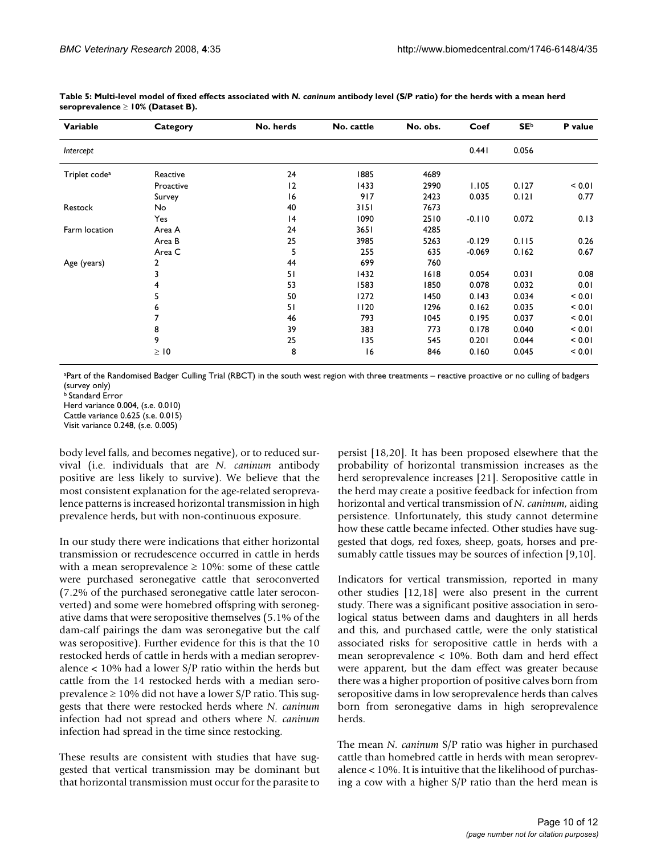| Variable                  | Category  | No. herds | No. cattle | No. obs. | Coef     | <b>SE</b> b | P value |
|---------------------------|-----------|-----------|------------|----------|----------|-------------|---------|
| Intercept                 |           |           |            |          | 0.441    | 0.056       |         |
| Triplet code <sup>a</sup> | Reactive  | 24        | 1885       | 4689     |          |             |         |
|                           | Proactive | 12        | 1433       | 2990     | 1.105    | 0.127       | < 0.01  |
|                           | Survey    | 16        | 917        | 2423     | 0.035    | 0.121       | 0.77    |
| Restock                   | No        | 40        | 3151       | 7673     |          |             |         |
|                           | Yes       | 4         | 1090       | 2510     | $-0.110$ | 0.072       | 0.13    |
| Farm location             | Area A    | 24        | 3651       | 4285     |          |             |         |
|                           | Area B    | 25        | 3985       | 5263     | $-0.129$ | 0.115       | 0.26    |
|                           | Area C    | 5         | 255        | 635      | $-0.069$ | 0.162       | 0.67    |
| Age (years)               | 2         | 44        | 699        | 760      |          |             |         |
|                           | 3         | 51        | 1432       | 1618     | 0.054    | 0.031       | 0.08    |
|                           | 4         | 53        | 1583       | 1850     | 0.078    | 0.032       | 0.01    |
|                           | 5         | 50        | 1272       | 1450     | 0.143    | 0.034       | < 0.01  |
|                           | 6         | 51        | 1120       | 1296     | 0.162    | 0.035       | < 0.01  |
|                           |           | 46        | 793        | 1045     | 0.195    | 0.037       | < 0.01  |
|                           | 8         | 39        | 383        | 773      | 0.178    | 0.040       | < 0.01  |
|                           | 9         | 25        | 135        | 545      | 0.201    | 0.044       | < 0.01  |
|                           | $\geq$ 10 | 8         | 16         | 846      | 0.160    | 0.045       | < 0.01  |

**Table 5: Multi-level model of fixed effects associated with** *N. caninum* **antibody level (S/P ratio) for the herds with a mean herd seroprevalence** ≥ **10% (Dataset B).**

aPart of the Randomised Badger Culling Trial (RBCT) in the south west region with three treatments – reactive proactive or no culling of badgers (survey only)

**b** Standard Error

Herd variance 0.004, (s.e. 0.010)

Cattle variance 0.625 (s.e. 0.015)

Visit variance 0.248, (s.e. 0.005)

body level falls, and becomes negative), or to reduced survival (i.e. individuals that are *N. caninum* antibody positive are less likely to survive). We believe that the most consistent explanation for the age-related seroprevalence patterns is increased horizontal transmission in high prevalence herds, but with non-continuous exposure.

In our study there were indications that either horizontal transmission or recrudescence occurred in cattle in herds with a mean seroprevalence  $\geq 10\%$ : some of these cattle were purchased seronegative cattle that seroconverted (7.2% of the purchased seronegative cattle later seroconverted) and some were homebred offspring with seronegative dams that were seropositive themselves (5.1% of the dam-calf pairings the dam was seronegative but the calf was seropositive). Further evidence for this is that the 10 restocked herds of cattle in herds with a median seroprevalence < 10% had a lower S/P ratio within the herds but cattle from the 14 restocked herds with a median seroprevalence  $\geq 10\%$  did not have a lower S/P ratio. This suggests that there were restocked herds where *N. caninum* infection had not spread and others where *N. caninum* infection had spread in the time since restocking.

These results are consistent with studies that have suggested that vertical transmission may be dominant but that horizontal transmission must occur for the parasite to

persist [18,20]. It has been proposed elsewhere that the probability of horizontal transmission increases as the herd seroprevalence increases [21]. Seropositive cattle in the herd may create a positive feedback for infection from horizontal and vertical transmission of *N. caninum*, aiding persistence. Unfortunately, this study cannot determine how these cattle became infected. Other studies have suggested that dogs, red foxes, sheep, goats, horses and presumably cattle tissues may be sources of infection [9,10].

Indicators for vertical transmission, reported in many other studies [12,18] were also present in the current study. There was a significant positive association in serological status between dams and daughters in all herds and this, and purchased cattle, were the only statistical associated risks for seropositive cattle in herds with a mean seroprevalence < 10%. Both dam and herd effect were apparent, but the dam effect was greater because there was a higher proportion of positive calves born from seropositive dams in low seroprevalence herds than calves born from seronegative dams in high seroprevalence herds.

The mean *N. caninum* S/P ratio was higher in purchased cattle than homebred cattle in herds with mean seroprevalence < 10%. It is intuitive that the likelihood of purchasing a cow with a higher S/P ratio than the herd mean is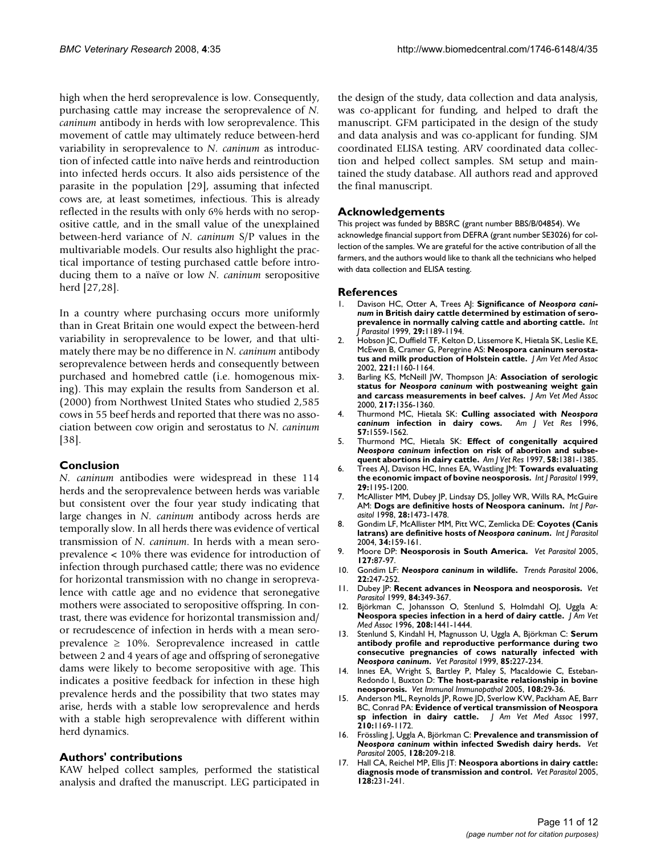high when the herd seroprevalence is low. Consequently, purchasing cattle may increase the seroprevalence of *N. caninum* antibody in herds with low seroprevalence. This movement of cattle may ultimately reduce between-herd variability in seroprevalence to *N. caninum* as introduction of infected cattle into naïve herds and reintroduction into infected herds occurs. It also aids persistence of the parasite in the population [29], assuming that infected cows are, at least sometimes, infectious. This is already reflected in the results with only 6% herds with no seropositive cattle, and in the small value of the unexplained between-herd variance of *N. caninum* S/P values in the multivariable models. Our results also highlight the practical importance of testing purchased cattle before introducing them to a naïve or low *N. caninum* seropositive herd [27,28].

In a country where purchasing occurs more uniformly than in Great Britain one would expect the between-herd variability in seroprevalence to be lower, and that ultimately there may be no difference in *N. caninum* antibody seroprevalence between herds and consequently between purchased and homebred cattle (i.e. homogenous mixing). This may explain the results from Sanderson et al. (2000) from Northwest United States who studied 2,585 cows in 55 beef herds and reported that there was no association between cow origin and serostatus to *N. caninum* [38].

# **Conclusion**

*N. caninum* antibodies were widespread in these 114 herds and the seroprevalence between herds was variable but consistent over the four year study indicating that large changes in *N. caninum* antibody across herds are temporally slow. In all herds there was evidence of vertical transmission of *N. caninum*. In herds with a mean seroprevalence < 10% there was evidence for introduction of infection through purchased cattle; there was no evidence for horizontal transmission with no change in seroprevalence with cattle age and no evidence that seronegative mothers were associated to seropositive offspring. In contrast, there was evidence for horizontal transmission and/ or recrudescence of infection in herds with a mean seroprevalence  $\geq$  10%. Seroprevalence increased in cattle between 2 and 4 years of age and offspring of seronegative dams were likely to become seropositive with age. This indicates a positive feedback for infection in these high prevalence herds and the possibility that two states may arise, herds with a stable low seroprevalence and herds with a stable high seroprevalence with different within herd dynamics.

# **Authors' contributions**

KAW helped collect samples, performed the statistical analysis and drafted the manuscript. LEG participated in the design of the study, data collection and data analysis, was co-applicant for funding, and helped to draft the manuscript. GFM participated in the design of the study and data analysis and was co-applicant for funding. SJM coordinated ELISA testing. ARV coordinated data collection and helped collect samples. SM setup and maintained the study database. All authors read and approved the final manuscript.

# **Acknowledgements**

This project was funded by BBSRC (grant number BBS/B/04854). We acknowledge financial support from DEFRA (grant number SE3026) for collection of the samples. We are grateful for the active contribution of all the farmers, and the authors would like to thank all the technicians who helped with data collection and ELISA testing.

### **References**

- Davison HC, Otter A, Trees AJ: Significance of Neospora cani*num* **[in British dairy cattle determined by estimation of sero](http://www.ncbi.nlm.nih.gov/entrez/query.fcgi?cmd=Retrieve&db=PubMed&dopt=Abstract&list_uids=10576570)[prevalence in normally calving cattle and aborting cattle.](http://www.ncbi.nlm.nih.gov/entrez/query.fcgi?cmd=Retrieve&db=PubMed&dopt=Abstract&list_uids=10576570)** *Int J Parasitol* 1999, **29:**1189-1194.
- 2. Hobson JC, Duffield TF, Kelton D, Lissemore K, Hietala SK, Leslie KE, McEwen B, Cramer G, Peregrine AS: **[Neospora caninum serosta](http://www.ncbi.nlm.nih.gov/entrez/query.fcgi?cmd=Retrieve&db=PubMed&dopt=Abstract&list_uids=12387387)[tus and milk production of Holstein cattle.](http://www.ncbi.nlm.nih.gov/entrez/query.fcgi?cmd=Retrieve&db=PubMed&dopt=Abstract&list_uids=12387387)** *J Am Vet Med Assoc* 2002, **221:**1160-1164.
- 3. Barling KS, McNeill JW, Thompson JA: **Association of serologic status for** *Neospora caninum* **[with postweaning weight gain](http://www.ncbi.nlm.nih.gov/entrez/query.fcgi?cmd=Retrieve&db=PubMed&dopt=Abstract&list_uids=11061390) [and carcass measurements in beef calves.](http://www.ncbi.nlm.nih.gov/entrez/query.fcgi?cmd=Retrieve&db=PubMed&dopt=Abstract&list_uids=11061390)** *J Am Vet Med Assoc* 2000, **217:**1356-1360.
- <span id="page-10-0"></span>4. Thurmond MC, Hietala SK: **Culling associated with** *Neospora caninum* **[infection in dairy cows.](http://www.ncbi.nlm.nih.gov/entrez/query.fcgi?cmd=Retrieve&db=PubMed&dopt=Abstract&list_uids=8915429)** *Am J Vet Res* 1996, **57:**1559-1562.
- <span id="page-10-1"></span>5. Thurmond MC, Hietala SK: **Effect of congenitally acquired** *Neospora caninum* **[infection on risk of abortion and subse](http://www.ncbi.nlm.nih.gov/entrez/query.fcgi?cmd=Retrieve&db=PubMed&dopt=Abstract&list_uids=9401685)[quent abortions in dairy cattle.](http://www.ncbi.nlm.nih.gov/entrez/query.fcgi?cmd=Retrieve&db=PubMed&dopt=Abstract&list_uids=9401685)** *Am J Vet Res* 1997, **58:**1381-1385.
- 6. Trees AJ, Davison HC, Innes EA, Wastling JM: **[Towards evaluating](http://www.ncbi.nlm.nih.gov/entrez/query.fcgi?cmd=Retrieve&db=PubMed&dopt=Abstract&list_uids=10576571) [the economic impact of bovine neosporosis.](http://www.ncbi.nlm.nih.gov/entrez/query.fcgi?cmd=Retrieve&db=PubMed&dopt=Abstract&list_uids=10576571)** *Int J Parasitol* 1999, **29:**1195-1200.
- 7. McAllister MM, Dubey JP, Lindsay DS, Jolley WR, Wills RA, McGuire AM: **[Dogs are definitive hosts of Neospora caninum.](http://www.ncbi.nlm.nih.gov/entrez/query.fcgi?cmd=Retrieve&db=PubMed&dopt=Abstract&list_uids=9770635)** *Int J Parasitol* 1998, **28:**1473-1478.
- 8. Gondim LF, McAllister MM, Pitt WC, Zemlicka DE: **Coyotes (Canis latrans) are definitive hosts of** *Neospora caninum***[.](http://www.ncbi.nlm.nih.gov/entrez/query.fcgi?cmd=Retrieve&db=PubMed&dopt=Abstract&list_uids=15037103)** *Int J Parasitol* 2004, **34:**159-161.
- 9. Moore DP: **[Neosporosis in South America.](http://www.ncbi.nlm.nih.gov/entrez/query.fcgi?cmd=Retrieve&db=PubMed&dopt=Abstract&list_uids=15631900)** *Vet Parasitol* 2005, **127:**87-97.
- 10. Gondim LF: *Neospora caninum* **[in wildlife.](http://www.ncbi.nlm.nih.gov/entrez/query.fcgi?cmd=Retrieve&db=PubMed&dopt=Abstract&list_uids=16616642)** *Trends Parasitol* 2006, **22:**247-252.
- 11. Dubey JP: **[Recent advances in Neospora and neosporosis.](http://www.ncbi.nlm.nih.gov/entrez/query.fcgi?cmd=Retrieve&db=PubMed&dopt=Abstract&list_uids=10456423)** *Vet Parasitol* 1999, **84:**349-367.
- 12. Björkman C, Johansson O, Stenlund S, Holmdahl OJ, Uggla A: **[Neospora species infection in a herd of dairy cattle.](http://www.ncbi.nlm.nih.gov/entrez/query.fcgi?cmd=Retrieve&db=PubMed&dopt=Abstract&list_uids=8635995)** *J Am Vet Med Assoc* 1996, **208:**1441-1444.
- 13. Stenlund S, Kindahl H, Magnusson U, Uggla A, Björkman C: **Serum antibody profile and reproductive performance during two consecutive pregnancies of cows naturally infected with** *Neospora caninum***[.](http://www.ncbi.nlm.nih.gov/entrez/query.fcgi?cmd=Retrieve&db=PubMed&dopt=Abstract&list_uids=10488725)** *Vet Parasitol* 1999, **85:**227-234.
- 14. Innes EA, Wright S, Bartley P, Maley S, Macaldowie C, Esteban-Redondo I, Buxton D: **[The host-parasite relationship in bovine](http://www.ncbi.nlm.nih.gov/entrez/query.fcgi?cmd=Retrieve&db=PubMed&dopt=Abstract&list_uids=16098610) [neosporosis.](http://www.ncbi.nlm.nih.gov/entrez/query.fcgi?cmd=Retrieve&db=PubMed&dopt=Abstract&list_uids=16098610)** *Vet Immunol Immunopathol* 2005, **108:**29-36.
- 15. Anderson ML, Reynolds JP, Rowe JD, Sverlow KW, Packham AE, Barr BC, Conrad PA: **[Evidence of vertical transmission of Neospora](http://www.ncbi.nlm.nih.gov/entrez/query.fcgi?cmd=Retrieve&db=PubMed&dopt=Abstract&list_uids=9108925)**  $sp$  infection in dairy cattle. **210:**1169-1172.
- 16. Frössling J, Uggla A, Björkman C: **Prevalence and transmission of** *Neospora caninum* **[within infected Swedish dairy herds.](http://www.ncbi.nlm.nih.gov/entrez/query.fcgi?cmd=Retrieve&db=PubMed&dopt=Abstract&list_uids=15740858)** *Vet Parasitol* 2005, **128:**209-218.
- 17. Hall CA, Reichel MP, Ellis JT: **[Neospora abortions in dairy cattle:](http://www.ncbi.nlm.nih.gov/entrez/query.fcgi?cmd=Retrieve&db=PubMed&dopt=Abstract&list_uids=15740860) [diagnosis mode of transmission and control.](http://www.ncbi.nlm.nih.gov/entrez/query.fcgi?cmd=Retrieve&db=PubMed&dopt=Abstract&list_uids=15740860)** *Vet Parasitol* 2005, **128:**231-241.